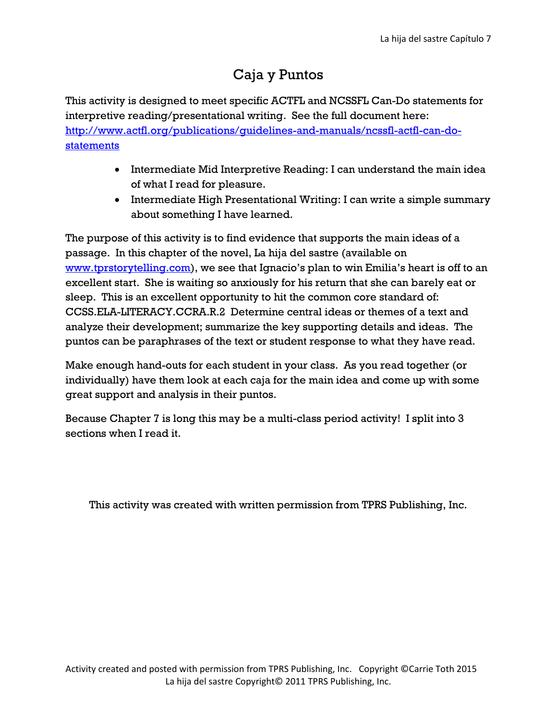#### Caja y Puntos

This activity is designed to meet specific ACTFL and NCSSFL Can-Do statements for interpretive reading/presentational writing. See the full document here: [http://www.actfl.org/publications/guidelines-and-manuals/ncssfl-actfl-can-do](http://www.actfl.org/publications/guidelines-and-manuals/ncssfl-actfl-can-do-statements)[statements](http://www.actfl.org/publications/guidelines-and-manuals/ncssfl-actfl-can-do-statements)

- Intermediate Mid Interpretive Reading: I can understand the main idea of what I read for pleasure.
- Intermediate High Presentational Writing: I can write a simple summary about something I have learned.

The purpose of this activity is to find evidence that supports the main ideas of a passage. In this chapter of the novel, La hija del sastre (available on [www.tprstorytelling.com\)](http://www.tprstorytelling.com/), we see that Ignacio's plan to win Emilia's heart is off to an excellent start. She is waiting so anxiously for his return that she can barely eat or sleep. This is an excellent opportunity to hit the common core standard of: CCSS.ELA-LITERACY.CCRA.R.2 Determine central ideas or themes of a text and analyze their development; summarize the key supporting details and ideas. The puntos can be paraphrases of the text or student response to what they have read.

Make enough hand-outs for each student in your class. As you read together (or individually) have them look at each caja for the main idea and come up with some great support and analysis in their puntos.

Because Chapter 7 is long this may be a multi-class period activity! I split into 3 sections when I read it.

This activity was created with written permission from TPRS Publishing, Inc.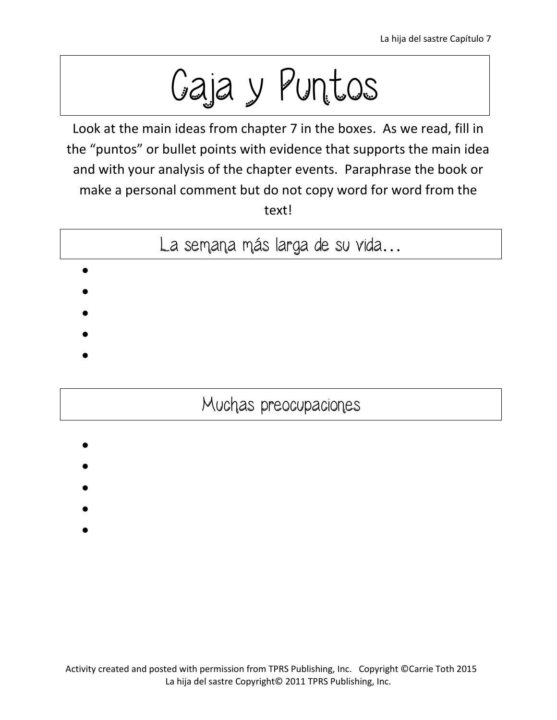Caja y Puntos

Look at the main ideas from chapter 7 in the boxes. As we read, fill in the "puntos" or bullet points with evidence that supports the main idea and with your analysis of the chapter events. Paraphrase the book or make a personal comment but do not copy word for word from the text!

La semana más larga de su vida…

 $\bullet$ 

 $\bullet$ 

- 
- $\bullet$
- $\bullet$
- $\bullet$
- 

## Muchas preocupaciones

- $\bullet$ 
	-
- $\bullet$
- $\bullet$
- $\bullet$
- $\bullet$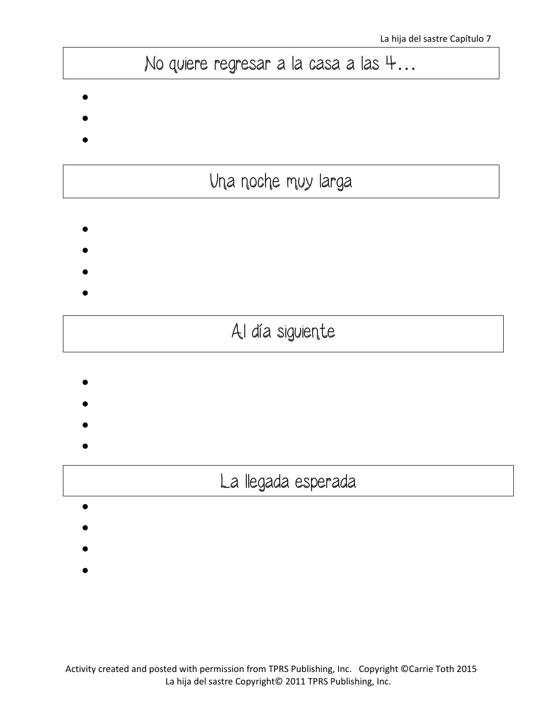# No quiere regresar a la casa a las 4...

 $\bullet$ 

- $\bullet$
- $\bullet$

# Una noche muy larga

- $\bullet$
- $\bullet$
- 

 $\bullet$ 

- $\bullet$ 
	-

# Al día siguiente

- $\bullet$
- $\bullet$
- 
- $\bullet$
- $\bullet$

## La llegada esperada

- $\bullet$
- 
- $\bullet$
- $\bullet$
- 
- $\bullet$